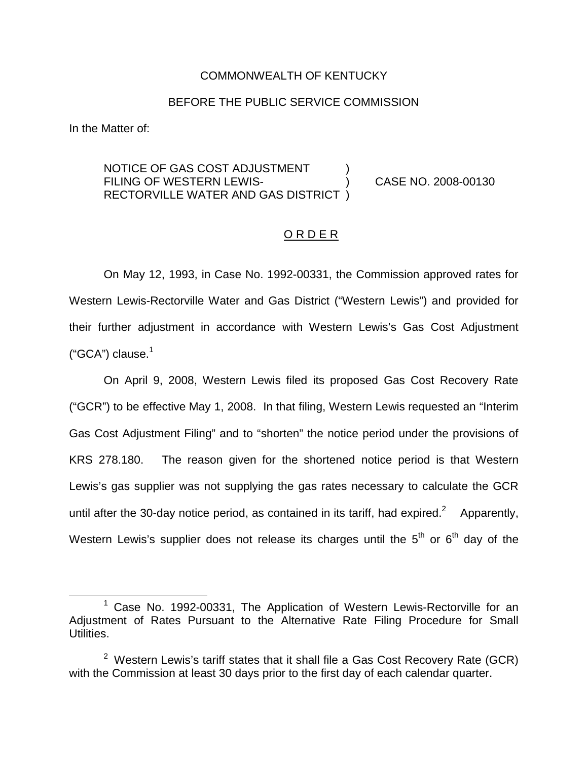#### COMMONWEALTH OF KENTUCKY

#### BEFORE THE PUBLIC SERVICE COMMISSION

In the Matter of:

### NOTICE OF GAS COST ADJUSTMENT FILING OF WESTERN LEWIS- ) CASE NO. 2008-00130 RECTORVILLE WATER AND GAS DISTRICT )

#### <u>ORDER</u>

On May 12, 1993, in Case No. 1992-00331, the Commission approved rates for Western Lewis-Rectorville Water and Gas District ("Western Lewis") and provided for their further adjustment in accordance with Western Lewis's Gas Cost Adjustment (" $GCA$ ") clause. $1$ 

On April 9, 2008, Western Lewis filed its proposed Gas Cost Recovery Rate ("GCR") to be effective May 1, 2008. In that filing, Western Lewis requested an "Interim Gas Cost Adjustment Filing" and to "shorten" the notice period under the provisions of KRS 278.180. The reason given for the shortened notice period is that Western Lewis's gas supplier was not supplying the gas rates necessary to calculate the GCR until after the 30-day notice period, as contained in its tariff, had expired.<sup>2</sup> Apparently, Western Lewis's supplier does not release its charges until the  $5<sup>th</sup>$  or  $6<sup>th</sup>$  day of the

<sup>&</sup>lt;sup>1</sup> Case No. 1992-00331, The Application of Western Lewis-Rectorville for an Adjustment of Rates Pursuant to the Alternative Rate Filing Procedure for Small Utilities.

 $2$  Western Lewis's tariff states that it shall file a Gas Cost Recovery Rate (GCR) with the Commission at least 30 days prior to the first day of each calendar quarter.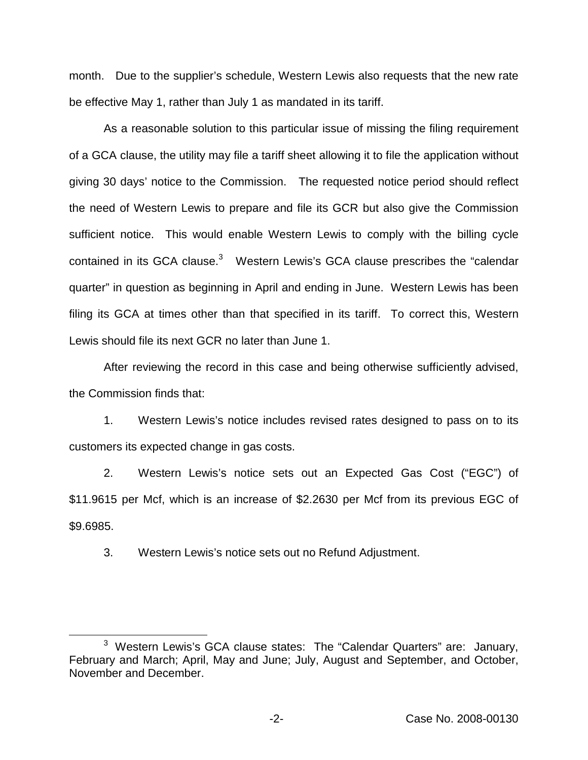month. Due to the supplier's schedule, Western Lewis also requests that the new rate be effective May 1, rather than July 1 as mandated in its tariff.

As a reasonable solution to this particular issue of missing the filing requirement of a GCA clause, the utility may file a tariff sheet allowing it to file the application without giving 30 days' notice to the Commission. The requested notice period should reflect the need of Western Lewis to prepare and file its GCR but also give the Commission sufficient notice. This would enable Western Lewis to comply with the billing cycle contained in its GCA clause.<sup>3</sup> Western Lewis's GCA clause prescribes the "calendar quarter" in question as beginning in April and ending in June. Western Lewis has been filing its GCA at times other than that specified in its tariff. To correct this, Western Lewis should file its next GCR no later than June 1.

After reviewing the record in this case and being otherwise sufficiently advised, the Commission finds that:

1. Western Lewis's notice includes revised rates designed to pass on to its customers its expected change in gas costs.

2. Western Lewis's notice sets out an Expected Gas Cost ("EGC") of \$11.9615 per Mcf, which is an increase of \$2.2630 per Mcf from its previous EGC of \$9.6985.

3. Western Lewis's notice sets out no Refund Adjustment.

<sup>&</sup>lt;sup>3</sup> Western Lewis's GCA clause states: The "Calendar Quarters" are: January, February and March; April, May and June; July, August and September, and October, November and December.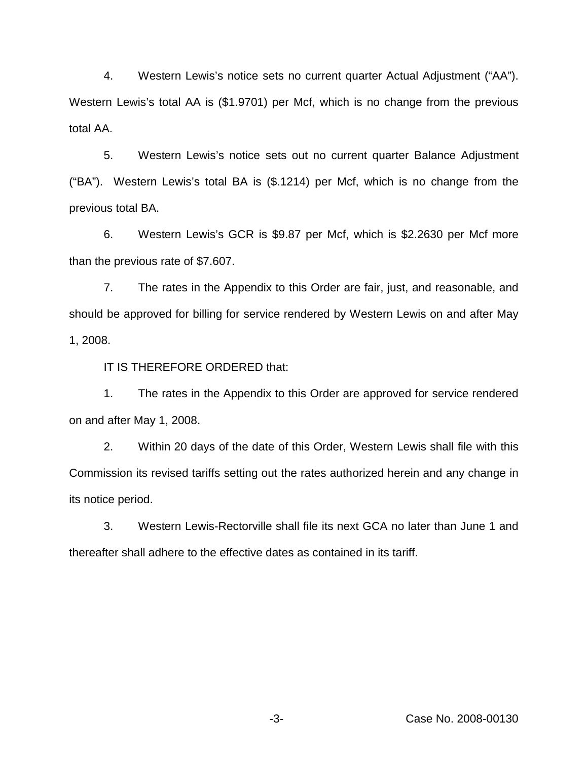4. Western Lewis's notice sets no current quarter Actual Adjustment ("AA"). Western Lewis's total AA is (\$1.9701) per Mcf, which is no change from the previous total AA.

5. Western Lewis's notice sets out no current quarter Balance Adjustment ("BA"). Western Lewis's total BA is (\$.1214) per Mcf, which is no change from the previous total BA.

6. Western Lewis's GCR is \$9.87 per Mcf, which is \$2.2630 per Mcf more than the previous rate of \$7.607.

7. The rates in the Appendix to this Order are fair, just, and reasonable, and should be approved for billing for service rendered by Western Lewis on and after May 1, 2008.

IT IS THEREFORE ORDERED that:

1. The rates in the Appendix to this Order are approved for service rendered on and after May 1, 2008.

2. Within 20 days of the date of this Order, Western Lewis shall file with this Commission its revised tariffs setting out the rates authorized herein and any change in its notice period.

3. Western Lewis-Rectorville shall file its next GCA no later than June 1 and thereafter shall adhere to the effective dates as contained in its tariff.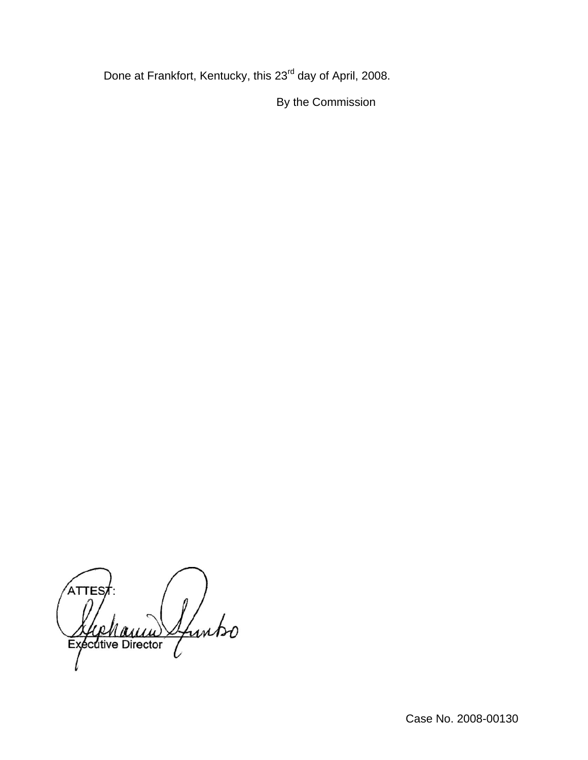Done at Frankfort, Kentucky, this 23<sup>rd</sup> day of April, 2008.

By the Commission

ATTES Sfuntso Executive Director